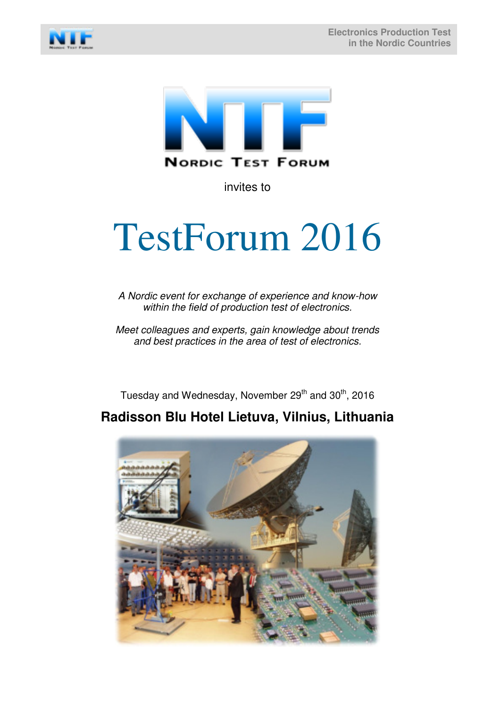



invites to

# TestForum 2016

*A Nordic event for exchange of experience and know-how within the field of production test of electronics.*

*Meet colleagues and experts, gain knowledge about trends and best practices in the area of test of electronics.* 

Tuesday and Wednesday, November  $29<sup>th</sup>$  and  $30<sup>th</sup>$ , 2016

# **Radisson Blu Hotel Lietuva, Vilnius, Lithuania**

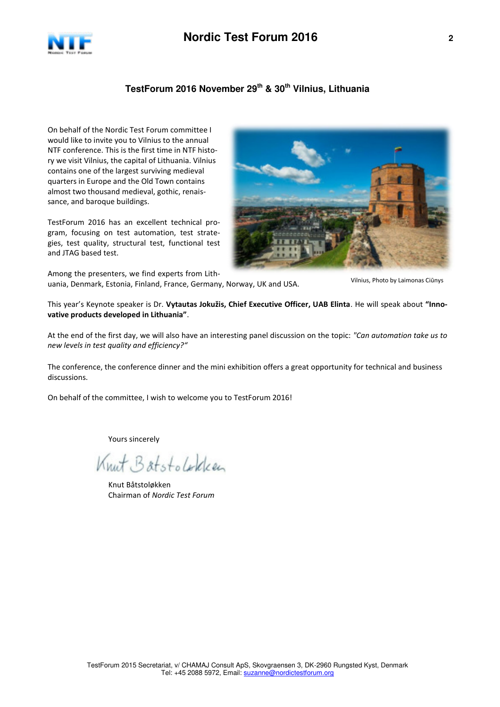

## **TestForum 2016 November 29th & 30th Vilnius, Lithuania**

On behalf of the Nordic Test Forum committee I would like to invite you to Vilnius to the annual NTF conference. This is the first time in NTF history we visit Vilnius, the capital of Lithuania. Vilnius contains one of the largest surviving medieval quarters in Europe and the Old Town contains almost two thousand medieval, gothic, renaissance, and baroque buildings.

TestForum 2016 has an excellent technical program, focusing on test automation, test strategies, test quality, structural test, functional test and JTAG based test.



Among the presenters, we find experts from Lithuania, Denmark, Estonia, Finland, France, Germany, Norway, UK and USA.

Vilnius, Photo by Laimonas Ciūnys

This year's Keynote speaker is Dr. **Vytautas Jokužis, Chief Executive Officer, UAB Elinta**. He will speak about **"Innovative products developed in Lithuania"**.

At the end of the first day, we will also have an interesting panel discussion on the topic: *"Can automation take us to new levels in test quality and efficiency?"*

The conference, the conference dinner and the mini exhibition offers a great opportunity for technical and business discussions.

On behalf of the committee, I wish to welcome you to TestForum 2016!

Yours sincerely

Knut Batstolokken

 Knut Båtstoløkken Chairman of *Nordic Test Forum*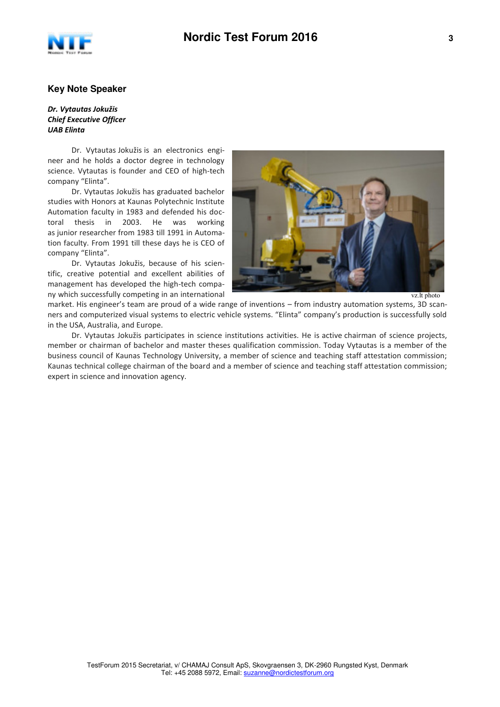

#### **Key Note Speaker**

#### *Dr. Vytautas Jokužis Chief Executive Officer UAB Elinta*

Dr. Vytautas Jokužis is an electronics engineer and he holds a doctor degree in technology science. Vytautas is founder and CEO of high-tech company "Elinta".

Dr. Vytautas Jokužis has graduated bachelor studies with Honors at Kaunas Polytechnic Institute Automation faculty in 1983 and defended his doctoral thesis in 2003. He was working as junior researcher from 1983 till 1991 in Automation faculty. From 1991 till these days he is CEO of company "Elinta".

Dr. Vytautas Jokužis, because of his scientific, creative potential and excellent abilities of management has developed the high-tech company which successfully competing in an international



vz.lt photo

market. His engineer's team are proud of a wide range of inventions – from industry automation systems, 3D scanners and computerized visual systems to electric vehicle systems. "Elinta" company's production is successfully sold in the USA, Australia, and Europe.

Dr. Vytautas Jokužis participates in science institutions activities. He is active chairman of science projects, member or chairman of bachelor and master theses qualification commission. Today Vytautas is a member of the business council of Kaunas Technology University, a member of science and teaching staff attestation commission; Kaunas technical college chairman of the board and a member of science and teaching staff attestation commission; expert in science and innovation agency.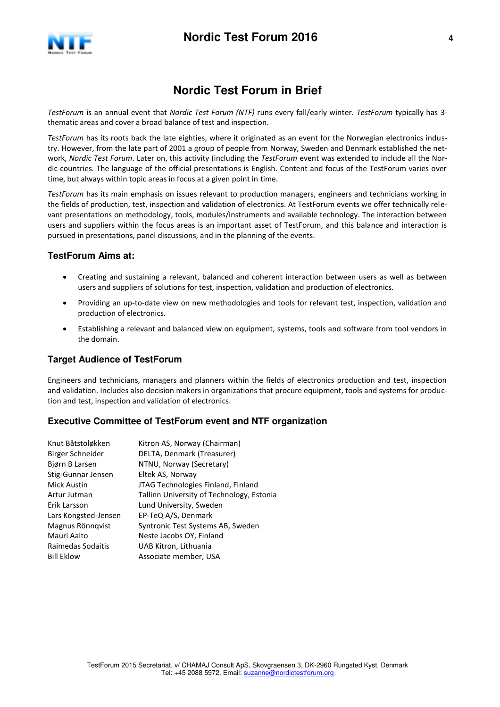

# **Nordic Test Forum in Brief**

*TestForum* is an annual event that *Nordic Test Forum (NTF)* runs every fall/early winter. *TestForum* typically has 3 thematic areas and cover a broad balance of test and inspection.

*TestForum* has its roots back the late eighties, where it originated as an event for the Norwegian electronics industry. However, from the late part of 2001 a group of people from Norway, Sweden and Denmark established the network, *Nordic Test Forum*. Later on, this activity (including the *TestForum* event was extended to include all the Nordic countries. The language of the official presentations is English. Content and focus of the TestForum varies over time, but always within topic areas in focus at a given point in time.

*TestForum* has its main emphasis on issues relevant to production managers, engineers and technicians working in the fields of production, test, inspection and validation of electronics. At TestForum events we offer technically relevant presentations on methodology, tools, modules/instruments and available technology. The interaction between users and suppliers within the focus areas is an important asset of TestForum, and this balance and interaction is pursued in presentations, panel discussions, and in the planning of the events.

## **TestForum Aims at:**

- Creating and sustaining a relevant, balanced and coherent interaction between users as well as between users and suppliers of solutions for test, inspection, validation and production of electronics.
- Providing an up-to-date view on new methodologies and tools for relevant test, inspection, validation and production of electronics.
- Establishing a relevant and balanced view on equipment, systems, tools and software from tool vendors in the domain.

### **Target Audience of TestForum**

Engineers and technicians, managers and planners within the fields of electronics production and test, inspection and validation. Includes also decision makers in organizations that procure equipment, tools and systems for production and test, inspection and validation of electronics.

### **Executive Committee of TestForum event and NTF organization**

| Knut Båtstoløkken    | Kitron AS, Norway (Chairman)              |
|----------------------|-------------------------------------------|
| Birger Schneider     | DELTA, Denmark (Treasurer)                |
| Biørn B Larsen       | NTNU, Norway (Secretary)                  |
| Stig-Gunnar Jensen   | Eltek AS, Norway                          |
| <b>Mick Austin</b>   | JTAG Technologies Finland, Finland        |
| Artur Jutman         | Tallinn University of Technology, Estonia |
| Erik Larsson         | Lund University, Sweden                   |
| Lars Kongsted-Jensen | EP-TeQ A/S, Denmark                       |
| Magnus Rönnqvist     | Syntronic Test Systems AB, Sweden         |
| Mauri Aalto          | Neste Jacobs OY, Finland                  |
| Raimedas Sodaitis    | UAB Kitron, Lithuania                     |
| <b>Bill Eklow</b>    | Associate member, USA                     |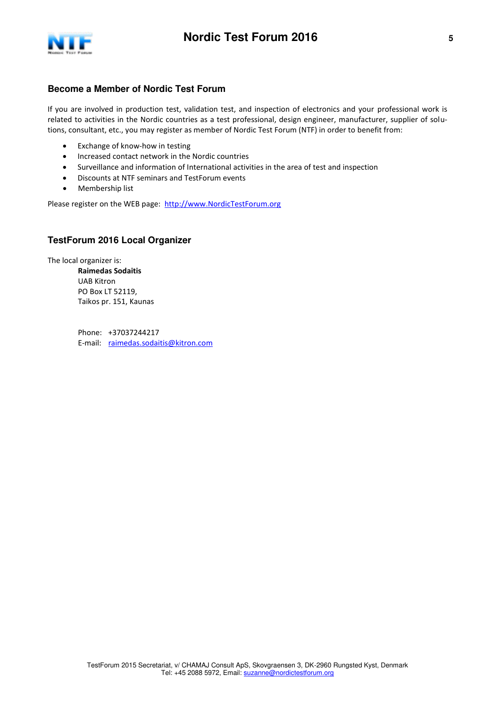

## **Become a Member of Nordic Test Forum**

If you are involved in production test, validation test, and inspection of electronics and your professional work is related to activities in the Nordic countries as a test professional, design engineer, manufacturer, supplier of solutions, consultant, etc., you may register as member of Nordic Test Forum (NTF) in order to benefit from:

- Exchange of know-how in testing
- Increased contact network in the Nordic countries
- Surveillance and information of International activities in the area of test and inspection
- Discounts at NTF seminars and TestForum events
- Membership list

Please register on the WEB page: [http://www.NordicTestForum.org](http://www.nordictestforum.org/)

## **TestForum 2016 Local Organizer**

The local organizer is: **Raimedas Sodaitis**  UAB Kitron PO Box LT 52119, Taikos pr. 151, Kaunas

> Phone: +37037244217 E-mail: [raimedas.sodaitis@kitron.com](mailto:raimedas.sodaitis@kitron.com)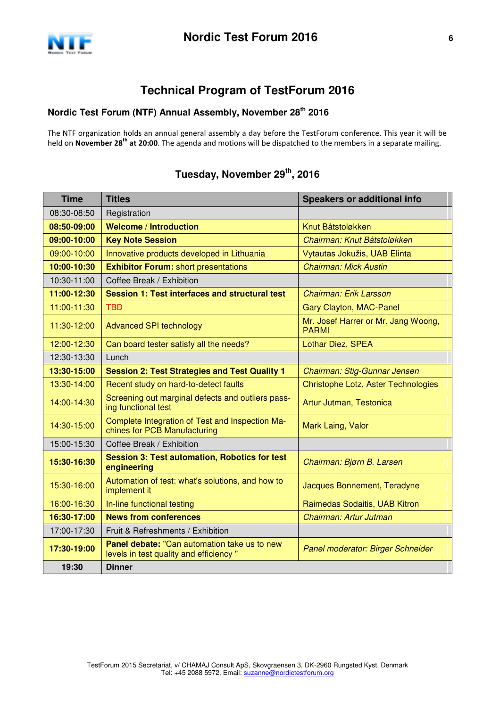

# **Technical Program of TestForum 2016**

## **Nordic Test Forum (NTF) Annual Assembly, November 28th 2016**

The NTF organization holds an annual general assembly a day before the TestForum conference. This year it will be held on **November 28th at 20:00**. The agenda and motions will be dispatched to the members in a separate mailing.

## **Time Titles Time Titles** Speakers or additional info 08:30-08:50 | Registration **08:50-09:00 Welcome / Introduction 1999 Metal American Metal Båtstoløkken 09:00-10:00 Key Note Session** *Chairman: Knut Båtstoløkken*  09:00-10:00 | Innovative products developed in Lithuania | Vytautas Jokužis, UAB Elinta **10:00-10:30 Exhibitor Forum:** short presentations *Chairman: Mick Austin* 10:30-11:00 Coffee Break / Exhibition **11:00-12:30 Session 1: Test interfaces and structural test** *Chairman: Erik Larsson* 11:00-11:30 TBD Gary Clayton, MAC-Panel 11:30-12:00 Advanced SPI technology Mr. Josef Harrer or Mr. Jang Woong, PARMI 12:00-12:30 Can board tester satisfy all the needs? Lothar Diez, SPEA 12:30-13:30 Lunch **13:30-15:00 Session 2: Test Strategies and Test Quality 1** *Chairman: Stig-Gunnar Jensen* 13:30-14:00 Recent study on hard-to-detect faults **Christophe Lotz, Aster Technologies** 14:00-14:30 Screening out marginal defects and outliers pass-<br>ling functional test Artur Jutman, Testonica 14:30-15:00 Complete Integration of Test and Inspection Ma-Complete integration of Test and inspection Mark Laing, Valor<br>chines for PCB Manufacturing 15:00-15:30 Coffee Break / Exhibition **15:30-16:30 Session 3: Test automation, Robotics for test engineering** *Chairman: Bjørn B. Larsen*  15:30-16:00 Automation of test: what's solutions, and how to implement it Jacques Bonnement, Teradyne 16:00-16:30 | In-line functional testing Raimedas Sodaitis, UAB Kitron **16:30-17:00 News from conferences** *Chairman: Artur Jutman* 17:00-17:30 Fruit & Refreshments / Exhibition **17:30-19:00 Panel debate:** "Can automation take us to new levels in test quality and efficiency " *Panel moderator: Birger Schneider* **19:30 Dinner**

## **Tuesday, November 29th , 2016**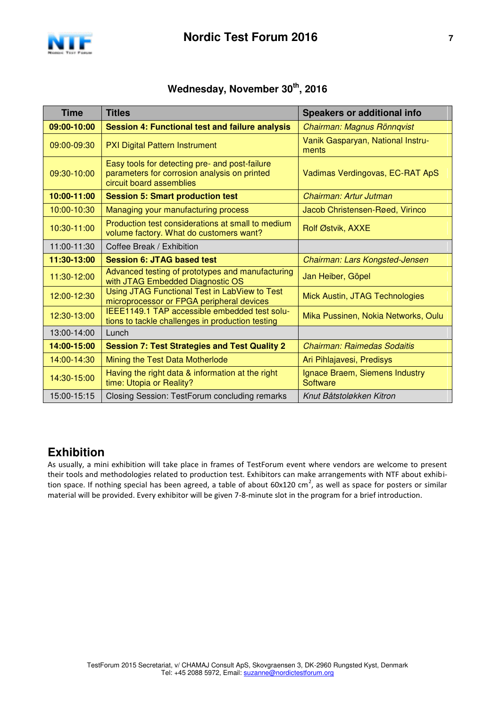

## **Wednesday, November 30th , 2016**

| <b>Time</b> | <b>Titles</b>                                                                                                              | <b>Speakers or additional info</b>         |
|-------------|----------------------------------------------------------------------------------------------------------------------------|--------------------------------------------|
| 09:00-10:00 | <b>Session 4: Functional test and failure analysis</b>                                                                     | Chairman: Magnus Rönnqvist                 |
| 09:00-09:30 | <b>PXI Digital Pattern Instrument</b>                                                                                      | Vanik Gasparyan, National Instru-<br>ments |
| 09:30-10:00 | Easy tools for detecting pre- and post-failure<br>parameters for corrosion analysis on printed<br>circuit board assemblies | Vadimas Verdingovas, EC-RAT ApS            |
| 10:00-11:00 | <b>Session 5: Smart production test</b>                                                                                    | Chairman: Artur Jutman                     |
| 10:00-10:30 | Managing your manufacturing process                                                                                        | Jacob Christensen-Røed, Virinco            |
| 10:30-11:00 | Production test considerations at small to medium<br>volume factory. What do customers want?                               | Rolf Østvik, AXXE                          |
| 11:00-11:30 | Coffee Break / Exhibition                                                                                                  |                                            |
| 11:30-13:00 | <b>Session 6: JTAG based test</b>                                                                                          | Chairman: Lars Kongsted-Jensen             |
| 11:30-12:00 | Advanced testing of prototypes and manufacturing<br>with JTAG Embedded Diagnostic OS                                       | Jan Heiber, Göpel                          |
| 12:00-12:30 | Using JTAG Functional Test in LabView to Test<br>microprocessor or FPGA peripheral devices                                 | Mick Austin, JTAG Technologies             |
| 12:30-13:00 | IEEE1149.1 TAP accessible embedded test solu-<br>tions to tackle challenges in production testing                          | Mika Pussinen, Nokia Networks, Oulu        |
| 13:00-14:00 | Lunch                                                                                                                      |                                            |
| 14:00-15:00 | <b>Session 7: Test Strategies and Test Quality 2</b>                                                                       | <b>Chairman: Raimedas Sodaitis</b>         |
| 14:00-14:30 | Mining the Test Data Motherlode                                                                                            | Ari Pihlajavesi, Predisys                  |
| 14:30-15:00 | Having the right data & information at the right<br>time: Utopia or Reality?                                               | Ignace Braem, Siemens Industry<br>Software |
| 15:00-15:15 | Closing Session: TestForum concluding remarks                                                                              | Knut Båtstoløkken Kitron                   |

# **Exhibition**

As usually, a mini exhibition will take place in frames of TestForum event where vendors are welcome to present their tools and methodologies related to production test. Exhibitors can make arrangements with NTF about exhibition space. If nothing special has been agreed, a table of about 60x120 cm<sup>2</sup>, as well as space for posters or similar material will be provided. Every exhibitor will be given 7-8-minute slot in the program for a brief introduction.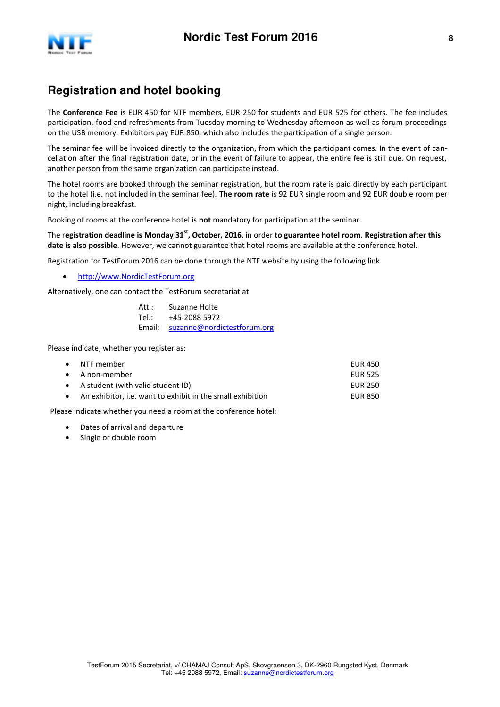

# **Registration and hotel booking**

The **Conference Fee** is EUR 450 for NTF members, EUR 250 for students and EUR 525 for others. The fee includes participation, food and refreshments from Tuesday morning to Wednesday afternoon as well as forum proceedings on the USB memory. Exhibitors pay EUR 850, which also includes the participation of a single person.

The seminar fee will be invoiced directly to the organization, from which the participant comes. In the event of cancellation after the final registration date, or in the event of failure to appear, the entire fee is still due. On request, another person from the same organization can participate instead.

The hotel rooms are booked through the seminar registration, but the room rate is paid directly by each participant to the hotel (i.e. not included in the seminar fee). **The room rate** is 92 EUR single room and 92 EUR double room per night, including breakfast.

Booking of rooms at the conference hotel is **not** mandatory for participation at the seminar.

The r**egistration deadline is Monday 31st , October, 2016**, in order **to guarantee hotel room**. **Registration after this date is also possible**. However, we cannot guarantee that hotel rooms are available at the conference hotel.

Registration for TestForum 2016 can be done through the NTF website by using the following link.

[http://www.NordicTestForum.org](http://www.nordictestforum.org/)

Alternatively, one can contact the TestForum secretariat at

| Att.: | Suzanne Holte                      |
|-------|------------------------------------|
| Tel:  | +45-2088 5972                      |
|       | Email: suzanne@nordictestforum.org |

Please indicate, whether you register as:

| $\bullet$ NTF member                                         | EUR 450        |
|--------------------------------------------------------------|----------------|
| $\bullet$ A non-member                                       | <b>EUR 525</b> |
| • A student (with valid student ID)                          | EUR 250        |
| • An exhibitor, i.e. want to exhibit in the small exhibition | <b>EUR 850</b> |

Please indicate whether you need a room at the conference hotel:

- Dates of arrival and departure
- Single or double room